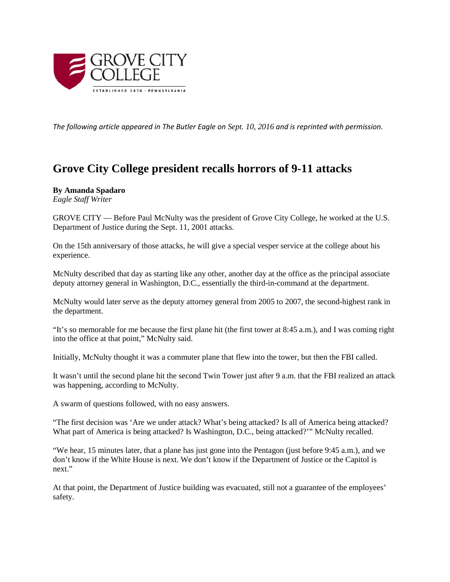

*The following article appeared in The Butler Eagle on Sept. 10, 2016 and is reprinted with permission.*

## **Grove City College president recalls horrors of 9-11 attacks**

## **By Amanda Spadaro**

*Eagle Staff Writer*

GROVE CITY — Before Paul McNulty was the president of Grove City College, he worked at the U.S. Department of Justice during the Sept. 11, 2001 attacks.

On the 15th anniversary of those attacks, he will give a special vesper service at the college about his experience.

McNulty described that day as starting like any other, another day at the office as the principal associate deputy attorney general in Washington, D.C., essentially the third-in-command at the department.

McNulty would later serve as the deputy attorney general from 2005 to 2007, the second-highest rank in the department.

"It's so memorable for me because the first plane hit (the first tower at 8:45 a.m.), and I was coming right into the office at that point," McNulty said.

Initially, McNulty thought it was a commuter plane that flew into the tower, but then the FBI called.

It wasn't until the second plane hit the second Twin Tower just after 9 a.m. that the FBI realized an attack was happening, according to McNulty.

A swarm of questions followed, with no easy answers.

"The first decision was 'Are we under attack? What's being attacked? Is all of America being attacked? What part of America is being attacked? Is Washington, D.C., being attacked?'" McNulty recalled.

"We hear, 15 minutes later, that a plane has just gone into the Pentagon (just before 9:45 a.m.), and we don't know if the White House is next. We don't know if the Department of Justice or the Capitol is next."

At that point, the Department of Justice building was evacuated, still not a guarantee of the employees' safety.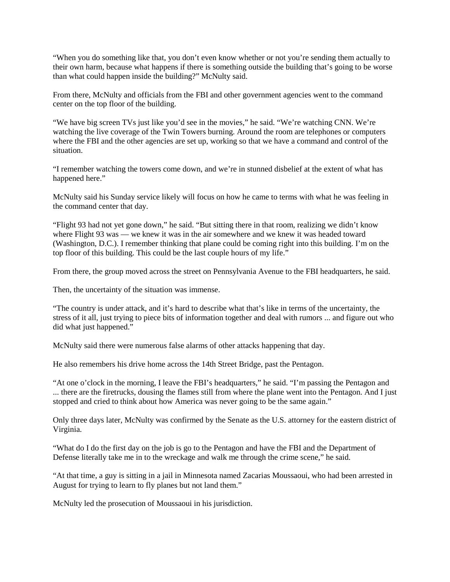"When you do something like that, you don't even know whether or not you're sending them actually to their own harm, because what happens if there is something outside the building that's going to be worse than what could happen inside the building?" McNulty said.

From there, McNulty and officials from the FBI and other government agencies went to the command center on the top floor of the building.

"We have big screen TVs just like you'd see in the movies," he said. "We're watching CNN. We're watching the live coverage of the Twin Towers burning. Around the room are telephones or computers where the FBI and the other agencies are set up, working so that we have a command and control of the situation.

"I remember watching the towers come down, and we're in stunned disbelief at the extent of what has happened here."

McNulty said his Sunday service likely will focus on how he came to terms with what he was feeling in the command center that day.

"Flight 93 had not yet gone down," he said. "But sitting there in that room, realizing we didn't know where Flight 93 was — we knew it was in the air somewhere and we knew it was headed toward (Washington, D.C.). I remember thinking that plane could be coming right into this building. I'm on the top floor of this building. This could be the last couple hours of my life."

From there, the group moved across the street on Pennsylvania Avenue to the FBI headquarters, he said.

Then, the uncertainty of the situation was immense.

"The country is under attack, and it's hard to describe what that's like in terms of the uncertainty, the stress of it all, just trying to piece bits of information together and deal with rumors ... and figure out who did what just happened."

McNulty said there were numerous false alarms of other attacks happening that day.

He also remembers his drive home across the 14th Street Bridge, past the Pentagon.

"At one o'clock in the morning, I leave the FBI's headquarters," he said. "I'm passing the Pentagon and ... there are the firetrucks, dousing the flames still from where the plane went into the Pentagon. And I just stopped and cried to think about how America was never going to be the same again."

Only three days later, McNulty was confirmed by the Senate as the U.S. attorney for the eastern district of Virginia.

"What do I do the first day on the job is go to the Pentagon and have the FBI and the Department of Defense literally take me in to the wreckage and walk me through the crime scene," he said.

"At that time, a guy is sitting in a jail in Minnesota named Zacarias Moussaoui, who had been arrested in August for trying to learn to fly planes but not land them."

McNulty led the prosecution of Moussaoui in his jurisdiction.